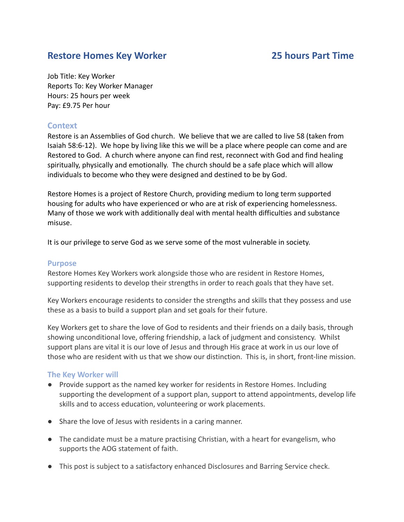# **Restore Homes Key Worker 25 hours Part Time**

Job Title: Key Worker Reports To: Key Worker Manager Hours: 25 hours per week Pay: £9.75 Per hour

# **Context**

Restore is an Assemblies of God church. We believe that we are called to live 58 (taken from Isaiah 58:6-12). We hope by living like this we will be a place where people can come and are Restored to God. A church where anyone can find rest, reconnect with God and find healing spiritually, physically and emotionally. The church should be a safe place which will allow individuals to become who they were designed and destined to be by God.

Restore Homes is a project of Restore Church, providing medium to long term supported housing for adults who have experienced or who are at risk of experiencing homelessness. Many of those we work with additionally deal with mental health difficulties and substance misuse.

It is our privilege to serve God as we serve some of the most vulnerable in society.

## **Purpose**

Restore Homes Key Workers work alongside those who are resident in Restore Homes, supporting residents to develop their strengths in order to reach goals that they have set.

Key Workers encourage residents to consider the strengths and skills that they possess and use these as a basis to build a support plan and set goals for their future.

Key Workers get to share the love of God to residents and their friends on a daily basis, through showing unconditional love, offering friendship, a lack of judgment and consistency. Whilst support plans are vital it is our love of Jesus and through His grace at work in us our love of those who are resident with us that we show our distinction. This is, in short, front-line mission.

## **The Key Worker will**

- Provide support as the named key worker for residents in Restore Homes. Including supporting the development of a support plan, support to attend appointments, develop life skills and to access education, volunteering or work placements.
- Share the love of Jesus with residents in a caring manner.
- The candidate must be a mature practising Christian, with a heart for evangelism, who supports the AOG statement of faith.
- This post is subject to a satisfactory enhanced Disclosures and Barring Service check.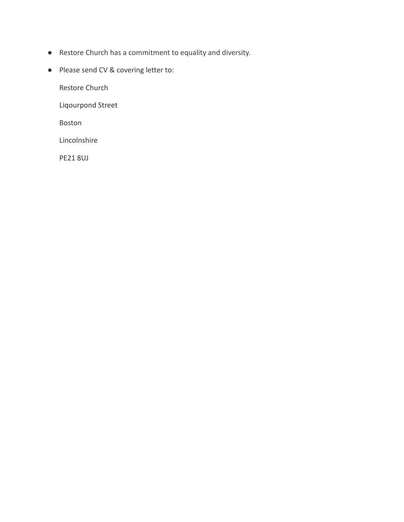- Restore Church has a commitment to equality and diversity.
- Please send CV & covering letter to:

Restore Church

Liqourpond Street

Boston

Lincolnshire

PE21 8UJ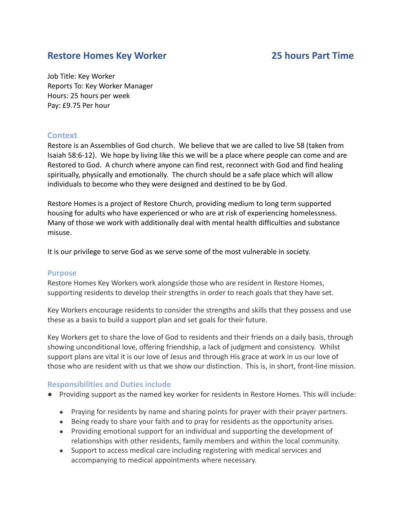# **Restore Homes Key Worker 25 hours Part Time**

Job Title: Key Worker Reports To: Key Worker Manager Hours: 25 hours per week Pay: £9.75 Per hour

# **Context**

Restore is an Assemblies of God church. We believe that we are called to live 58 (taken from Isaiah 58:6-12). We hope by living like this we will be a place where people can come and are Restored to God. A church where anyone can find rest, reconnect with God and find healing spiritually, physically and emotionally. The church should be a safe place which will allow individuals to become who they were designed and destined to be by God.

Restore Homes is a project of Restore Church, providing medium to long term supported housing for adults who have experienced or who are at risk of experiencing homelessness. Many of those we work with additionally deal with mental health difficulties and substance misuse.

It is our privilege to serve God as we serve some of the most vulnerable in society.

### **Purpose**

Restore Homes Key Workers work alongside those who are resident in Restore Homes, supporting residents to develop their strengths in order to reach goals that they have set.

Key Workers encourage residents to consider the strengths and skills that they possess and use these as a basis to build a support plan and set goals for their future.

Key Workers get to share the love of God to residents and their friends on a daily basis, through showing unconditional love, offering friendship, a lack of judgment and consistency. Whilst support plans are vital it is our love of Jesus and through His grace at work in us our love of those who are resident with us that we show our distinction. This is, in short, front-line mission.

## **Responsibilities and Duties include**

- Providing support as the named key worker for residents in Restore Homes. This will include:
	- Praying for residents by name and sharing points for prayer with their prayer partners.
	- Being ready to share your faith and to pray for residents as the opportunity arises.
	- Providing emotional support for an individual and supporting the development of relationships with other residents, family members and within the local community.
	- Support to access medical care including registering with medical services and accompanying to medical appointments where necessary.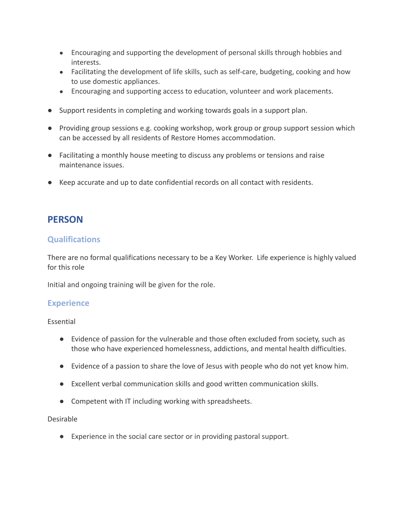- Encouraging and supporting the development of personal skills through hobbies and interests.
- Facilitating the development of life skills, such as self-care, budgeting, cooking and how to use domestic appliances.
- Encouraging and supporting access to education, volunteer and work placements.
- Support residents in completing and working towards goals in a support plan.
- Providing group sessions e.g. cooking workshop, work group or group support session which can be accessed by all residents of Restore Homes accommodation.
- Facilitating a monthly house meeting to discuss any problems or tensions and raise maintenance issues.
- Keep accurate and up to date confidential records on all contact with residents.

# **PERSON**

# **Qualifications**

There are no formal qualifications necessary to be a Key Worker. Life experience is highly valued for this role

Initial and ongoing training will be given for the role.

# **Experience**

Essential

- Evidence of passion for the vulnerable and those often excluded from society, such as those who have experienced homelessness, addictions, and mental health difficulties.
- Evidence of a passion to share the love of Jesus with people who do not yet know him.
- Excellent verbal communication skills and good written communication skills.
- Competent with IT including working with spreadsheets.

### Desirable

● Experience in the social care sector or in providing pastoral support.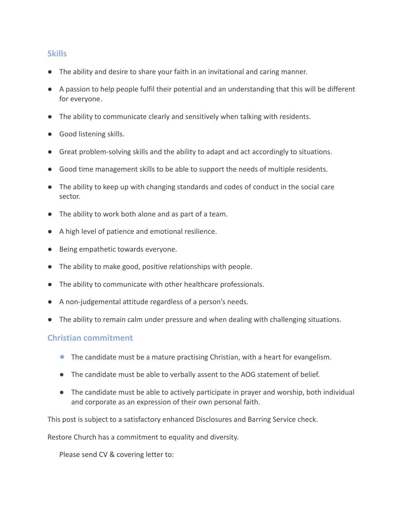# **Skills**

- The ability and desire to share your faith in an invitational and caring manner.
- A passion to help people fulfil their potential and an understanding that this will be different for everyone.
- The ability to communicate clearly and sensitively when talking with residents.
- Good listening skills.
- Great problem-solving skills and the ability to adapt and act accordingly to situations.
- Good time management skills to be able to support the needs of multiple residents.
- The ability to keep up with changing standards and codes of conduct in the social care sector.
- The ability to work both alone and as part of a team.
- A high level of patience and emotional resilience.
- Being empathetic towards everyone.
- The ability to make good, positive relationships with people.
- The ability to communicate with other healthcare professionals.
- A non-judgemental attitude regardless of a person's needs.
- The ability to remain calm under pressure and when dealing with challenging situations.

## **Christian commitment**

- **●** The candidate must be a mature practising Christian, with a heart for evangelism.
- The candidate must be able to verbally assent to the AOG statement of belief.
- The candidate must be able to actively participate in prayer and worship, both individual and corporate as an expression of their own personal faith.

This post is subject to a satisfactory enhanced Disclosures and Barring Service check.

Restore Church has a commitment to equality and diversity.

Please send CV & covering letter to: